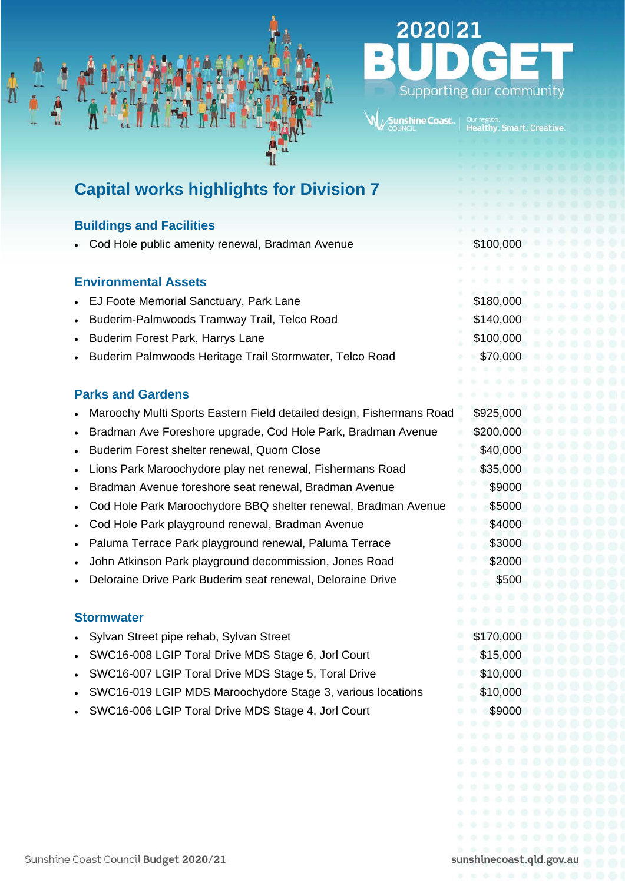

# **Capital works highlights for Division 7**

## **Buildings and Facilities**

| Cod Hole public amenity renewal, Bradman Avenue          | \$100,000 |
|----------------------------------------------------------|-----------|
|                                                          | $10 - 10$ |
| <b>Environmental Assets</b>                              |           |
| • EJ Foote Memorial Sanctuary, Park Lane                 | \$180,000 |
| Buderim-Palmwoods Tramway Trail, Telco Road<br>$\bullet$ | \$140,000 |
| <b>Buderim Forest Park, Harrys Lane</b><br>$\bullet$     | \$100,000 |
| Buderim Palmwoods Heritage Trail Stormwater, Telco Road  | \$70,000  |

#### **Parks and Gardens**

|  | Maroochy Multi Sports Eastern Field detailed design, Fishermans Road |  |  | \$925,000 |
|--|----------------------------------------------------------------------|--|--|-----------|
|--|----------------------------------------------------------------------|--|--|-----------|

- Bradman Ave Foreshore upgrade, Cod Hole Park, Bradman Avenue \$200,000
- **Example 1 Buderim Forest shelter renewal, Quorn Close 640,000**
- Lions Park Maroochydore play net renewal, Fishermans Road \$35,000
- Bradman Avenue foreshore seat renewal, Bradman Avenue \$9000
- Cod Hole Park Maroochydore BBQ shelter renewal, Bradman Avenue \$5000
- **Cod Hole Park playground renewal, Bradman Avenue \$4000 \$4000**
- **Paluma Terrace Park playground renewal, Paluma Terrace**  $$3000$
- John Atkinson Park playground decommission, Jones Road \$2000
- Deloraine Drive Park Buderim seat renewal, Deloraine Drive \$500

#### **Stormwater**

- Sylvan Street pipe rehab, Sylvan Street \$170,000
- SWC16-008 LGIP Toral Drive MDS Stage 6, Jorl Court \$15,000
- SWC16-007 LGIP Toral Drive MDS Stage 5, Toral Drive \$10,000
- SWC16-019 LGIP MDS Maroochydore Stage 3, various locations \$10,000
- erstanding SWC16-006 LGIP Toral Drive MDS Stage 4, Jorl Court \$9000